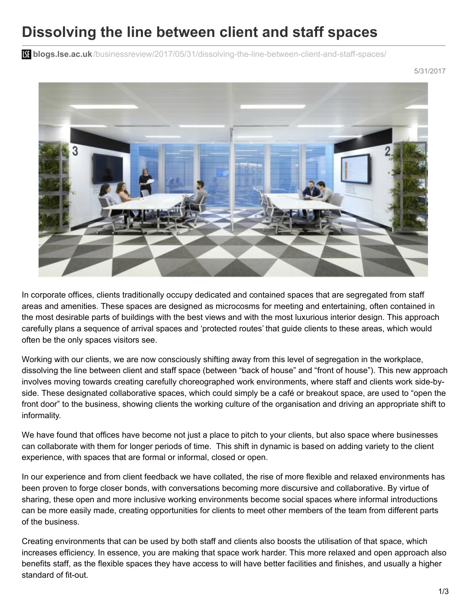## **Dissolving the line between client and staff spaces**

**blist blogs.lse.ac.uk**[/businessreview/2017/05/31/dissolving-the-line-between-client-and-staff-spaces/](http://blogs.lse.ac.uk/businessreview/2017/05/31/dissolving-the-line-between-client-and-staff-spaces/)

5/31/2017



In corporate offices, clients traditionally occupy dedicated and contained spaces that are segregated from staff areas and amenities. These spaces are designed as microcosms for meeting and entertaining, often contained in the most desirable parts of buildings with the best views and with the most luxurious interior design. This approach carefully plans a sequence of arrival spaces and 'protected routes' that guide clients to these areas, which would often be the only spaces visitors see.

Working with our clients, we are now consciously shifting away from this level of segregation in the workplace, dissolving the line between client and staff space (between "back of house" and "front of house"). This new approach involves moving towards creating carefully choreographed work environments, where staff and clients work side-byside. These designated collaborative spaces, which could simply be a café or breakout space, are used to "open the front door" to the business, showing clients the working culture of the organisation and driving an appropriate shift to informality.

We have found that offices have become not just a place to pitch to your clients, but also space where businesses can collaborate with them for longer periods of time. This shift in dynamic is based on adding variety to the client experience, with spaces that are formal or informal, closed or open.

In our experience and from client feedback we have collated, the rise of more flexible and relaxed environments has been proven to forge closer bonds, with conversations becoming more discursive and collaborative. By virtue of sharing, these open and more inclusive working environments become social spaces where informal introductions can be more easily made, creating opportunities for clients to meet other members of the team from different parts of the business.

Creating environments that can be used by both staff and clients also boosts the utilisation of that space, which increases efficiency. In essence, you are making that space work harder. This more relaxed and open approach also benefits staff, as the flexible spaces they have access to will have better facilities and finishes, and usually a higher standard of fit-out.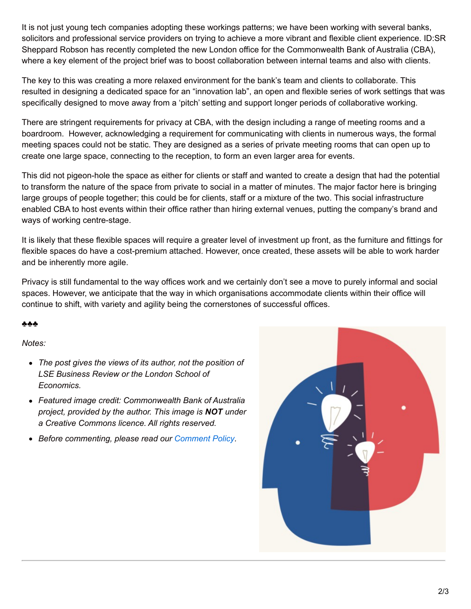It is not just young tech companies adopting these workings patterns; we have been working with several banks, solicitors and professional service providers on trying to achieve a more vibrant and flexible client experience. ID:SR Sheppard Robson has recently completed the new London office for the Commonwealth Bank of Australia (CBA), where a key element of the project brief was to boost collaboration between internal teams and also with clients.

The key to this was creating a more relaxed environment for the bank's team and clients to collaborate. This resulted in designing a dedicated space for an "innovation lab", an open and flexible series of work settings that was specifically designed to move away from a 'pitch' setting and support longer periods of collaborative working.

There are stringent requirements for privacy at CBA, with the design including a range of meeting rooms and a boardroom. However, acknowledging a requirement for communicating with clients in numerous ways, the formal meeting spaces could not be static. They are designed as a series of private meeting rooms that can open up to create one large space, connecting to the reception, to form an even larger area for events.

This did not pigeon-hole the space as either for clients or staff and wanted to create a design that had the potential to transform the nature of the space from private to social in a matter of minutes. The major factor here is bringing large groups of people together; this could be for clients, staff or a mixture of the two. This social infrastructure enabled CBA to host events within their office rather than hiring external venues, putting the company's brand and ways of working centre-stage.

It is likely that these flexible spaces will require a greater level of investment up front, as the furniture and fittings for flexible spaces do have a cost-premium attached. However, once created, these assets will be able to work harder and be inherently more agile.

Privacy is still fundamental to the way offices work and we certainly don't see a move to purely informal and social spaces. However, we anticipate that the way in which organisations accommodate clients within their office will continue to shift, with variety and agility being the cornerstones of successful offices.

## ♣♣♣

## *Notes:*

- *The post gives the views of its author, not the position of LSE Business Review or the London School of Economics.*
- *Featured image credit: Commonwealth Bank of Australia project, provided by the author. This image is NOT under a Creative Commons licence. All rights reserved.*
- *Before commenting, please read our [Comment](http://blogs.lse.ac.uk/businessreview/comment-policy/) Policy.*